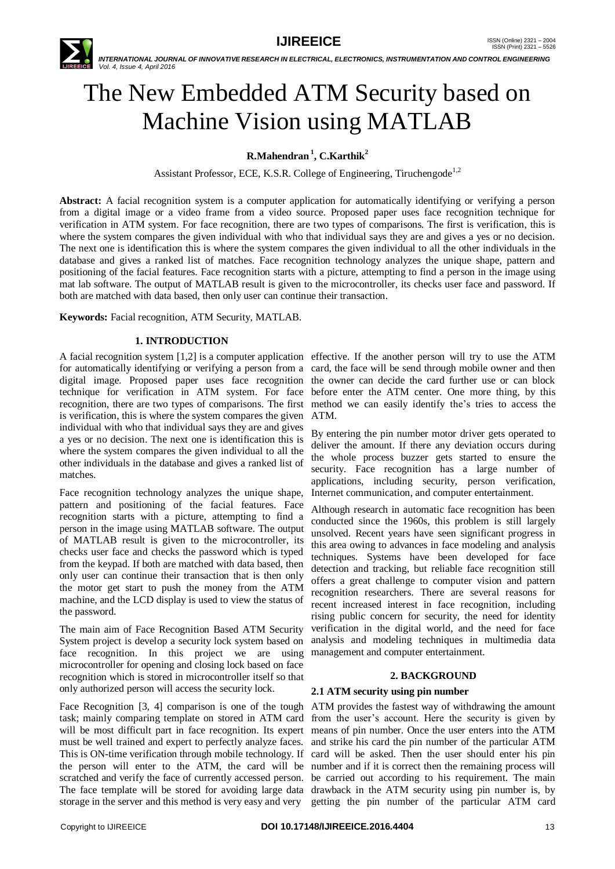

# The New Embedded ATM Security based on Machine Vision using MATLAB

# **R.Mahendran <sup>1</sup> , C.Karthik<sup>2</sup>**

Assistant Professor, ECE, K.S.R. College of Engineering, Tiruchengode<sup>1,2</sup>

**Abstract:** A facial recognition system is a computer application for automatically identifying or verifying a person from a digital image or a video frame from a video source. Proposed paper uses face recognition technique for verification in ATM system. For face recognition, there are two types of comparisons. The first is verification, this is where the system compares the given individual with who that individual says they are and gives a yes or no decision. The next one is identification this is where the system compares the given individual to all the other individuals in the database and gives a ranked list of matches. Face recognition technology analyzes the unique shape, pattern and positioning of the facial features. Face recognition starts with a picture, attempting to find a person in the image using mat lab software. The output of MATLAB result is given to the microcontroller, its checks user face and password. If both are matched with data based, then only user can continue their transaction.

**Keywords:** Facial recognition, ATM Security, MATLAB.

# **1. INTRODUCTION**

A facial recognition system [1,2] is a computer application effective. If the another person will try to use the ATM for automatically identifying or verifying a person from a card, the face will be send through mobile owner and then digital image. Proposed paper uses face recognition the owner can decide the card further use or can block technique for verification in ATM system. For face recognition, there are two types of comparisons. The first method we can easily identify the's tries to access the is verification, this is where the system compares the given individual with who that individual says they are and gives a yes or no decision. The next one is identification this is where the system compares the given individual to all the other individuals in the database and gives a ranked list of matches.

Face recognition technology analyzes the unique shape, pattern and positioning of the facial features. Face recognition starts with a picture, attempting to find a person in the image using MATLAB software. The output of MATLAB result is given to the microcontroller, its checks user face and checks the password which is typed from the keypad. If both are matched with data based, then only user can continue their transaction that is then only the motor get start to push the money from the ATM machine, and the LCD display is used to view the status of the password.

The main aim of Face Recognition Based ATM Security System project is develop a security lock system based on face recognition. In this project we are using microcontroller for opening and closing lock based on face recognition which is stored in microcontroller itself so that only authorized person will access the security lock.

Face Recognition [3, 4] comparison is one of the tough ATM provides the fastest way of withdrawing the amount task; mainly comparing template on stored in ATM card from the user's account. Here the security is given by will be most difficult part in face recognition. Its expert means of pin number. Once the user enters into the ATM must be well trained and expert to perfectly analyze faces. and strike his card the pin number of the particular ATM This is ON-time verification through mobile technology. If card will be asked. Then the user should enter his pin the person will enter to the ATM, the card will be number and if it is correct then the remaining process will scratched and verify the face of currently accessed person. be carried out according to his requirement. The main The face template will be stored for avoiding large data drawback in the ATM security using pin number is, by storage in the server and this method is very easy and very getting the pin number of the particular ATM card

before enter the ATM center. One more thing, by this ATM.

By entering the pin number motor driver gets operated to deliver the amount. If there any deviation occurs during the whole process buzzer gets started to ensure the security. Face recognition has a large number of applications, including security, person verification, Internet communication, and computer entertainment.

Although research in automatic face recognition has been conducted since the 1960s, this problem is still largely unsolved. Recent years have seen significant progress in this area owing to advances in face modeling and analysis techniques. Systems have been developed for face detection and tracking, but reliable face recognition still offers a great challenge to computer vision and pattern recognition researchers. There are several reasons for recent increased interest in face recognition, including rising public concern for security, the need for identity verification in the digital world, and the need for face analysis and modeling techniques in multimedia data management and computer entertainment.

# **2. BACKGROUND**

# **2.1 ATM security using pin number**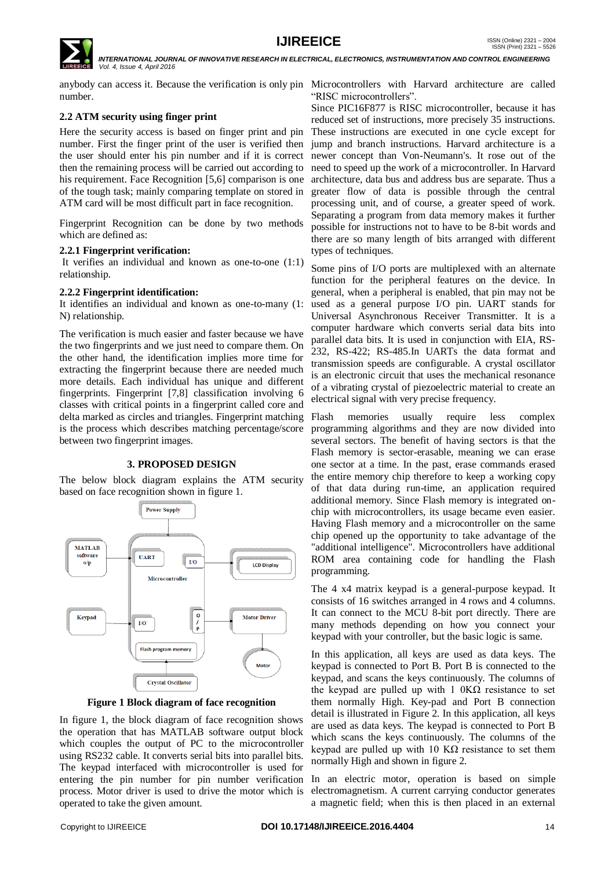

number.

# **2.2 ATM security using finger print**

Here the security access is based on finger print and pin number. First the finger print of the user is verified then the user should enter his pin number and if it is correct then the remaining process will be carried out according to his requirement. Face Recognition [5,6] comparison is one of the tough task; mainly comparing template on stored in ATM card will be most difficult part in face recognition.

Fingerprint Recognition can be done by two methods which are defined as:

# **2.2.1 Fingerprint verification:**

It verifies an individual and known as one-to-one (1:1) relationship.

# **2.2.2 Fingerprint identification:**

It identifies an individual and known as one-to-many (1: N) relationship.

The verification is much easier and faster because we have the two fingerprints and we just need to compare them. On the other hand, the identification implies more time for extracting the fingerprint because there are needed much more details. Each individual has unique and different fingerprints. Fingerprint [7,8] classification involving 6 classes with critical points in a fingerprint called core and delta marked as circles and triangles. Fingerprint matching is the process which describes matching percentage/score between two fingerprint images.

# **3. PROPOSED DESIGN**

The below block diagram explains the ATM security based on face recognition shown in figure 1.



**Figure 1 Block diagram of face recognition**

In figure 1, the block diagram of face recognition shows the operation that has MATLAB software output block which couples the output of PC to the microcontroller using RS232 cable. It converts serial bits into parallel bits. The keypad interfaced with microcontroller is used for entering the pin number for pin number verification process. Motor driver is used to drive the motor which is operated to take the given amount.

anybody can access it. Because the verification is only pin Microcontrollers with Harvard architecture are called "RISC microcontrollers".

Since PIC16F877 is RISC microcontroller, because it has reduced set of instructions, more precisely 35 instructions. These instructions are executed in one cycle except for jump and branch instructions. Harvard architecture is a newer concept than Von-Neumann's. It rose out of the need to speed up the work of a microcontroller. In Harvard architecture, data bus and address bus are separate. Thus a greater flow of data is possible through the central processing unit, and of course, a greater speed of work. Separating a program from data memory makes it further possible for instructions not to have to be 8-bit words and there are so many length of bits arranged with different types of techniques.

Some pins of I/O ports are multiplexed with an alternate function for the peripheral features on the device. In general, when a peripheral is enabled, that pin may not be used as a general purpose I/O pin. UART stands for Universal Asynchronous Receiver Transmitter. It is a computer hardware which converts serial data bits into parallel data bits. It is used in conjunction with EIA, RS-232, RS-422; RS-485.In UARTs the data format and transmission speeds are configurable. A crystal oscillator is an electronic circuit that uses the mechanical resonance of a vibrating crystal of piezoelectric material to create an electrical signal with very precise frequency.

Flash memories usually require less complex programming algorithms and they are now divided into several sectors. The benefit of having sectors is that the Flash memory is sector-erasable, meaning we can erase one sector at a time. In the past, erase commands erased the entire memory chip therefore to keep a working copy of that data during run-time, an application required additional memory. Since Flash memory is integrated onchip with microcontrollers, its usage became even easier. Having Flash memory and a microcontroller on the same chip opened up the opportunity to take advantage of the "additional intelligence". Microcontrollers have additional ROM area containing code for handling the Flash programming.

The 4 x4 matrix keypad is a general-purpose keypad. It consists of 16 switches arranged in 4 rows and 4 columns. It can connect to the MCU 8-bit port directly. There are many methods depending on how you connect your keypad with your controller, but the basic logic is same.

In this application, all keys are used as data keys. The keypad is connected to Port B. Port B is connected to the keypad, and scans the keys continuously. The columns of the keypad are pulled up with 1  $0$ KΩ resistance to set them normally High. Key-pad and Port B connection detail is illustrated in Figure 2. In this application, all keys are used as data keys. The keypad is connected to Port B which scans the keys continuously. The columns of the keypad are pulled up with 10 KΩ resistance to set them normally High and shown in figure 2.

In an electric motor, operation is based on simple electromagnetism. A current carrying conductor generates a magnetic field; when this is then placed in an external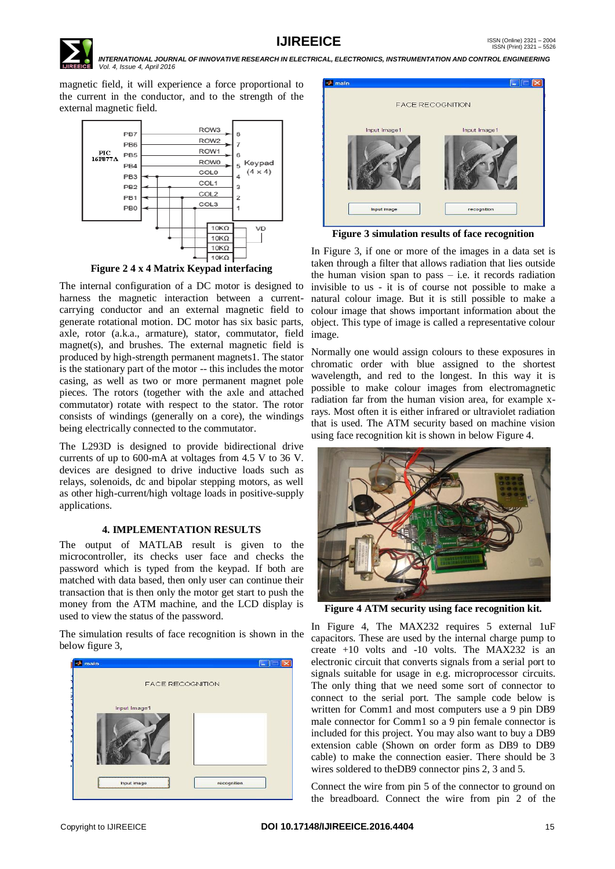

magnetic field, it will experience a force proportional to the current in the conductor, and to the strength of the external magnetic field.



**Figure 2 4 x 4 Matrix Keypad interfacing**

The internal configuration of a DC motor is designed to harness the magnetic interaction between a currentcarrying conductor and an external magnetic field to generate rotational motion. DC motor has six basic parts, axle, rotor (a.k.a., armature), stator, commutator, field magnet(s), and brushes. The external magnetic field is produced by high-strength permanent magnets1. The stator is the stationary part of the motor -- this includes the motor casing, as well as two or more permanent magnet pole pieces. The rotors (together with the axle and attached commutator) rotate with respect to the stator. The rotor consists of windings (generally on a core), the windings being electrically connected to the commutator.

The L293D is designed to provide bidirectional drive currents of up to 600-mA at voltages from 4.5 V to 36 V. devices are designed to drive inductive loads such as relays, solenoids, dc and bipolar stepping motors, as well as other high-current/high voltage loads in positive-supply applications.

# **4. IMPLEMENTATION RESULTS**

The output of MATLAB result is given to the microcontroller, its checks user face and checks the password which is typed from the keypad. If both are matched with data based, then only user can continue their transaction that is then only the motor get start to push the money from the ATM machine, and the LCD display is used to view the status of the password.

The simulation results of face recognition is shown in the below figure 3,





**Figure 3 simulation results of face recognition**

In Figure 3, if one or more of the images in a data set is taken through a filter that allows radiation that lies outside the human vision span to pass  $-$  i.e. it records radiation invisible to us - it is of course not possible to make a natural colour image. But it is still possible to make a colour image that shows important information about the object. This type of image is called a representative colour image.

Normally one would assign colours to these exposures in chromatic order with blue assigned to the shortest wavelength, and red to the longest. In this way it is possible to make colour images from electromagnetic radiation far from the human vision area, for example xrays. Most often it is either infrared or ultraviolet radiation that is used. The ATM security based on machine vision using face recognition kit is shown in below Figure 4.



**Figure 4 ATM security using face recognition kit.**

In Figure 4, The MAX232 requires 5 external 1uF capacitors. These are used by the internal charge pump to create  $+10$  volts and  $-10$  volts. The MAX232 is an electronic circuit that converts signals from a serial port to signals suitable for usage in e.g. microprocessor circuits. The only thing that we need some sort of connector to connect to the serial port. The sample code below is written for Comm1 and most computers use a 9 pin DB9 male connector for Comm1 so a 9 pin female connector is included for this project. You may also want to buy a DB9 extension cable (Shown on order form as DB9 to DB9 cable) to make the connection easier. There should be 3 wires soldered to theDB9 connector pins 2, 3 and 5.

Connect the wire from pin 5 of the connector to ground on the breadboard. Connect the wire from pin 2 of the